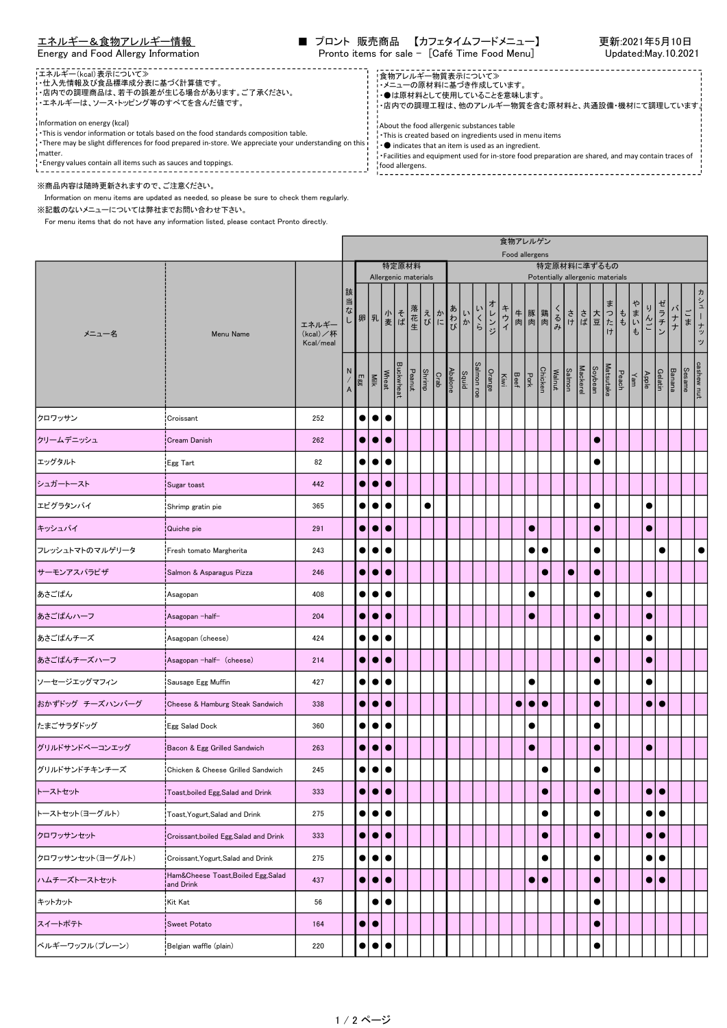エネルギー&食物アレルギー情報 ■ プロント 販売商品 【カフェタイムフードメニュー】 更新:2021年5月10日 Energy and Food Allergy Information Pronto items for sale - [Café Time Food Menu] Updated:May.10.2021

> ------------------------<br>!食物アレルギー物質表示について≫ ・メニューの原材料に基づき作成しています。 ・●は原材料として使用していることを意味します。

About the food allergenic substances table

・This is created based on ingredients used in menu items ・● indicates that an item is used as an ingredient.

・店内での調理工程は、他のアレルギー物質を含む原材料と、共通設備・機材にて調理しています。

• Conditions that the control of the store food preparation are shared, and may contain traces of food allergens.

----------------

- エネルギー(kcal)表示について≫ ・仕入先情報及び食品標準成分表に基づく計算値です。
- ・店内での調理商品は、若干の誤差が生じる場合があります。ご了承ください。 - エネルギーは、ソース・トッピング等のすべてを含んだ値です。

Information on energy (kcal)

- ・This is vendor information or totals based on the food standards composition table.
- ・There may be slight differences for food prepared in-store. We appreciate your understanding on this i⊤<br>I matter.

・Energy values contain all items such as sauces and toppings.

## ※商品内容は随時更新されますので、ご注意ください。

 Information on menu items are updated as needed, so please be sure to check them regularly. ※記載のないメニューについては弊社までお問い合わせ下さい。

For menu items that do not have any information listed, please contact Pronto directly.

|                                                                                                                                                                                                                                                         |                                                  |                                |                                 |           |                           |           |          |        |                                                                         |  |                                   |  |            |        | 食物アレルゲン<br>Food allergens |                                 |                  |  |                              |  |                                             |           |              |                 |                  |               |               |                     |
|---------------------------------------------------------------------------------------------------------------------------------------------------------------------------------------------------------------------------------------------------------|--------------------------------------------------|--------------------------------|---------------------------------|-----------|---------------------------|-----------|----------|--------|-------------------------------------------------------------------------|--|-----------------------------------|--|------------|--------|---------------------------|---------------------------------|------------------|--|------------------------------|--|---------------------------------------------|-----------|--------------|-----------------|------------------|---------------|---------------|---------------------|
| メニュー名<br>クロワッサン<br>クリームデニッシュ<br>エッグタルト<br>シュガートースト<br>エビグラタンパイ<br>キッシュパイ<br>フレッシュトマトのマルゲリータ<br>サーモンアスパラピザ<br>あさごぱん<br>あさごぱんハーフ<br>あさごぱんチーズ<br>あさごぱんチーズハーフ<br>ソーセージエッグマフィン<br>おかずドッグ チーズハンバーグ<br>たまごサラダドッグ<br>グリルドサンドベーコンエッグ<br>グリルドサンドチキンチーズ<br>トーストセット |                                                  |                                |                                 |           |                           |           | 特定原材料    |        | 特定原材料に準ずるもの<br>Allergenic materials<br>Potentially allergenic materials |  |                                   |  |            |        |                           |                                 |                  |  |                              |  |                                             |           |              |                 |                  |               |               |                     |
|                                                                                                                                                                                                                                                         | Menu Name                                        | エネルギー<br>(kcal)/杯<br>Kcal/meal | 該<br>当                          |           | な   卵 乳   変 ば             |           |          | 落花生    | えかわいく                                                                   |  |                                   |  |            | オレンジ   | キウイ                       | 牛 豚 鶏 くる<br> 肉 肉 肉 み            |                  |  |                              |  | - さまつた<br> さます<br> <br> <br> <br> <br> <br> |           | $t$          | ゃ<br>りんご<br>まいも | ゼラチン             | バナー           | ごま            | ヵ<br>シュ<br>ーナッ<br>ッ |
|                                                                                                                                                                                                                                                         |                                                  |                                | N,<br>$\boldsymbol{\mathsf{A}}$ | Egg       | Wheat<br>Milk             |           | uckwheat | Peanut | Shrimp                                                                  |  | $rac{\text{Squid}}{\text{Chalo}}$ |  | Salmon roe | Orange |                           | Chicken<br>Pork<br>Beef<br>Kiwi |                  |  | Mackerel<br>Salmon<br>Walnut |  | Soybean                                     | Matsutake | Peach<br>Yam | Apple           | Gelatin          | <b>Banana</b> | <b>Sesame</b> | cashew nut          |
|                                                                                                                                                                                                                                                         | Croissant                                        | 252                            |                                 | $\bullet$ | $\bullet$                 | $\bullet$ |          |        |                                                                         |  |                                   |  |            |        |                           |                                 |                  |  |                              |  |                                             |           |              |                 |                  |               |               |                     |
|                                                                                                                                                                                                                                                         | <b>Cream Danish</b>                              | 262                            |                                 | $\bullet$ | $\bullet$                 | $\bullet$ |          |        |                                                                         |  |                                   |  |            |        |                           |                                 |                  |  |                              |  | $\bullet$                                   |           |              |                 |                  |               |               |                     |
|                                                                                                                                                                                                                                                         | Egg Tart                                         | 82                             |                                 | $\bullet$ | $\bullet$                 | $\bullet$ |          |        |                                                                         |  |                                   |  |            |        |                           |                                 |                  |  |                              |  | $\bullet$                                   |           |              |                 |                  |               |               |                     |
|                                                                                                                                                                                                                                                         | Sugar toast                                      | 442                            |                                 | $\bullet$ | $\bullet$                 | $\bullet$ |          |        |                                                                         |  |                                   |  |            |        |                           |                                 |                  |  |                              |  |                                             |           |              |                 |                  |               |               |                     |
|                                                                                                                                                                                                                                                         | Shrimp gratin pie                                | 365                            |                                 | $\bullet$ | $\bullet$                 | $\bullet$ |          |        | $\bullet$                                                               |  |                                   |  |            |        |                           |                                 |                  |  |                              |  | $\bullet$                                   |           |              | $\bullet$       |                  |               |               |                     |
|                                                                                                                                                                                                                                                         | Quiche pie                                       | 291                            |                                 | $\bullet$ | $\bullet$                 | $\bullet$ |          |        |                                                                         |  |                                   |  |            |        |                           |                                 |                  |  |                              |  | $\bullet$                                   |           |              | $\bullet$       |                  |               |               |                     |
|                                                                                                                                                                                                                                                         | Fresh tomato Margherita                          | 243                            |                                 | $\bullet$ | $\bullet$                 | $\bullet$ |          |        |                                                                         |  |                                   |  |            |        |                           | $\bullet$                       | $\bullet$        |  |                              |  | $\bullet$                                   |           |              |                 | $\bullet$        |               |               |                     |
|                                                                                                                                                                                                                                                         | Salmon & Asparagus Pizza                         | 246                            |                                 | $\bullet$ | $\bullet$                 | $\bullet$ |          |        |                                                                         |  |                                   |  |            |        |                           |                                 | O                |  | $\bullet$                    |  | $\bullet$                                   |           |              |                 |                  |               |               |                     |
|                                                                                                                                                                                                                                                         | Asagopan                                         | 408                            |                                 | $\bullet$ | $\bullet$                 | $\bullet$ |          |        |                                                                         |  |                                   |  |            |        |                           |                                 |                  |  |                              |  | $\bullet$                                   |           |              | $\bullet$       |                  |               |               |                     |
|                                                                                                                                                                                                                                                         | ¦Asagopan −half–                                 | 204                            |                                 | $\bullet$ | $\bullet$                 | $\bullet$ |          |        |                                                                         |  |                                   |  |            |        |                           | $\bullet$                       |                  |  |                              |  | $\bullet$                                   |           |              | $\bullet$       |                  |               |               |                     |
|                                                                                                                                                                                                                                                         | Asagopan (cheese)                                | 424                            |                                 | $\bullet$ | $\bullet$                 | $\bullet$ |          |        |                                                                         |  |                                   |  |            |        |                           |                                 |                  |  |                              |  | $\bullet$                                   |           |              | $\bullet$       |                  |               |               |                     |
|                                                                                                                                                                                                                                                         | Asagopan-half- (cheese)                          | 214                            |                                 | $\bullet$ | $\bullet$                 | $\bullet$ |          |        |                                                                         |  |                                   |  |            |        |                           |                                 |                  |  |                              |  | $\bullet$                                   |           |              | $\bullet$       |                  |               |               |                     |
|                                                                                                                                                                                                                                                         | Sausage Egg Muffin                               | 427                            |                                 | $\bullet$ | $\bullet$                 | $\bullet$ |          |        |                                                                         |  |                                   |  |            |        |                           | $\bullet$                       |                  |  |                              |  | $\bullet$                                   |           |              | $\bullet$       |                  |               |               |                     |
|                                                                                                                                                                                                                                                         | Cheese & Hamburg Steak Sandwich                  | 338                            |                                 | $\bullet$ | $\bullet$                 | $\bullet$ |          |        |                                                                         |  |                                   |  |            |        |                           | $\bullet$                       | $\bullet\bullet$ |  |                              |  | $\bullet$                                   |           |              | $\bullet$       | $\bullet$        |               |               |                     |
|                                                                                                                                                                                                                                                         | Egg Salad Dock                                   | 360                            |                                 | $\bullet$ | $\bullet$                 | $\bullet$ |          |        |                                                                         |  |                                   |  |            |        |                           |                                 |                  |  |                              |  | $\bullet$                                   |           |              |                 |                  |               |               |                     |
|                                                                                                                                                                                                                                                         | Bacon & Egg Grilled Sandwich                     | 263                            |                                 | $\bullet$ | $\bullet$                 | $\bullet$ |          |        |                                                                         |  |                                   |  |            |        |                           | $\bullet$                       |                  |  |                              |  | $\bullet$                                   |           |              | $\bullet$       |                  |               |               |                     |
|                                                                                                                                                                                                                                                         | Chicken & Cheese Grilled Sandwich                | 245                            |                                 | $\bullet$ | $\bullet$                 | $\bullet$ |          |        |                                                                         |  |                                   |  |            |        |                           |                                 | $\bullet$        |  |                              |  | $\bullet$                                   |           |              |                 |                  |               |               |                     |
|                                                                                                                                                                                                                                                         | Toast, boiled Egg, Salad and Drink               | 333                            |                                 | $\bullet$ | $\bullet\bullet$          |           |          |        |                                                                         |  |                                   |  |            |        |                           |                                 | $\bullet$        |  |                              |  | $\bullet$                                   |           |              |                 | $\bullet\bullet$ |               |               |                     |
| トーストセット(ヨーグルト)                                                                                                                                                                                                                                          | Toast, Yogurt, Salad and Drink                   | 275                            |                                 |           | $\bullet \bullet \bullet$ |           |          |        |                                                                         |  |                                   |  |            |        |                           |                                 | $\bullet$        |  |                              |  | $\bullet$                                   |           |              | $\bullet$       | ●                |               |               |                     |
| クロワッサンセット                                                                                                                                                                                                                                               | Croissant, boiled Egg, Salad and Drink           | 333                            |                                 | $\bullet$ | $\bullet\bullet$          |           |          |        |                                                                         |  |                                   |  |            |        |                           |                                 | $\bullet$        |  |                              |  | $\bullet$                                   |           |              | $\bullet$       | $\bullet$        |               |               |                     |
| クロワッサンセット(ヨーグルト)                                                                                                                                                                                                                                        | Croissant, Yogurt, Salad and Drink               | 275                            |                                 | $\bullet$ | $\bullet\bullet$          |           |          |        |                                                                         |  |                                   |  |            |        |                           |                                 | $\bullet$        |  |                              |  | $\bullet$                                   |           |              | $\bullet$       | $\bullet$        |               |               |                     |
| ハムチーズトーストセット                                                                                                                                                                                                                                            | Ham&Cheese Toast, Boiled Egg, Salad<br>and Drink | 437                            |                                 |           | $\bullet \bullet \bullet$ |           |          |        |                                                                         |  |                                   |  |            |        |                           |                                 | $\bullet\bullet$ |  |                              |  | $\bullet$                                   |           |              | $\bullet$       | $\bullet$        |               |               |                     |
| キットカット                                                                                                                                                                                                                                                  | Kit Kat                                          | 56                             |                                 |           | $\bullet$                 | $\bullet$ |          |        |                                                                         |  |                                   |  |            |        |                           |                                 |                  |  |                              |  | $\bullet$                                   |           |              |                 |                  |               |               |                     |
| スイートポテト                                                                                                                                                                                                                                                 | Sweet Potato                                     | 164                            |                                 | $\bullet$ | $\bullet$                 |           |          |        |                                                                         |  |                                   |  |            |        |                           |                                 |                  |  |                              |  | $\bullet$                                   |           |              |                 |                  |               |               |                     |
| ベルギーワッフル(プレーン)                                                                                                                                                                                                                                          | Belgian waffle (plain)                           | 220                            |                                 | $\bullet$ | $\bullet$                 | $\bullet$ |          |        |                                                                         |  |                                   |  |            |        |                           |                                 |                  |  |                              |  | $\bullet$                                   |           |              |                 |                  |               |               |                     |
|                                                                                                                                                                                                                                                         |                                                  |                                |                                 |           |                           |           |          |        |                                                                         |  |                                   |  |            |        |                           |                                 |                  |  |                              |  |                                             |           |              |                 |                  |               |               |                     |